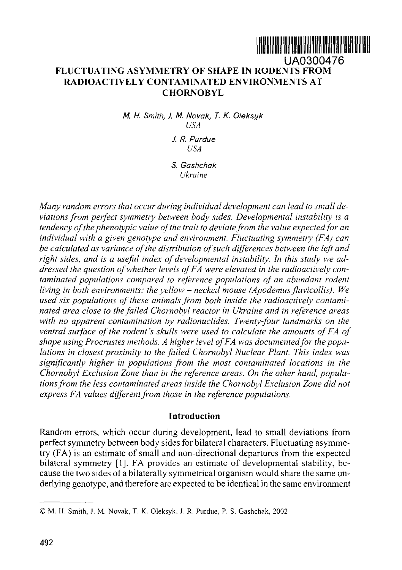# UA0300476 **FLUCTUATING ASYMMETRY OF SHAPE IN RODENTS FROM RADIOACTIVELY CONTAMINATED ENVIRONMENTS AT CHORNOBYL**

M. H. Smith, J. M. Novak, T. K. Oleksyk *USA* J. R. Purdue

*USA*

*S. Gashchak Ukraine*

*Many random errors that occur during individual development can lead to small deviations from perfect symmetry between body sides. Developmental instability is a tendency of the phenotypic value of the trait to deviate from the value expected for an individual with a given genotype and environment. Fluctuating symmetry (FA) can be calculated as variance of the distribution of such differences between the left and right sides, and is a useful index of developmental instability. In this study we addressed the question of whether levels of FA were elevated in the radioactively contaminated populations compared to reference populations of an abundant rodent living in both environments: the yellow – necked mouse (Apodemus flavicollis). We used six populations of these animals from both inside the radioactively contaminated area close to the failed Chernobyl reactor in Ukraine and in reference areas with no apparent contamination by radionuclides. Twenty-four landmarks on the ventral surface of the rodent's skulls were used to calculate the amounts of FA of shape using Procrustes methods. A higher level of FA was documented for the populations in closest proximity to the failed Chornobyi Nuclear Plant. This index was significantly higher in populations from the most contaminated locations in the Chornobyi Exclusion Zone than in the reference areas. On the other hand, populations from the less contaminated areas inside the Chornobyi Exclusion Zone did not express FA values different from those in the reference populations.*

## **Introduction**

Random errors, which occur during development, lead to small deviations from perfect symmetry between body sides for bilateral characters. Fluctuating asymmetry (FA) is an estimate of small and non-directional departures from the expected bilateral symmetry [1]. FA provides an estimate of developmental stability, because the two sides of a bilaterally symmetrical organism would share the same underlying genotype, and therefore are expected to be identical in the same environment

<sup>©</sup> M. H. Smith, J. M. Novak, T. K. Oleksyk, J. R. Purdue, P. S. Gashchak, 2002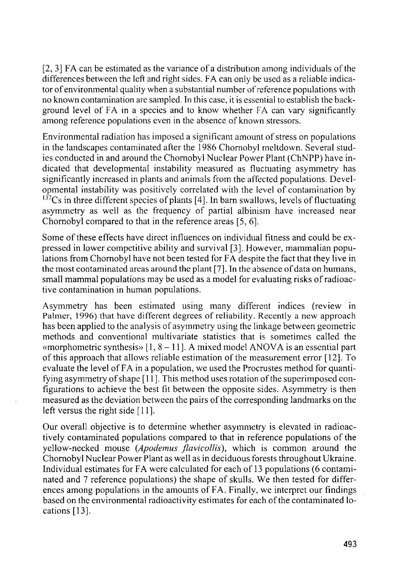[2, 3] FA can be estimated as the variance of a distribution among individuals of the differences between the left and right sides. FA can only be used as a reliable indicator of environmental quality when a substantial number of reference populations with no known contamination are sampled. In this case, it is essential to establish the background level of FA in a species and to know whether FA can vary significantly among reference populations even in the absence of known stressors.

Environmental radiation has imposed a significant amount of stress on populations in the landscapes contaminated after the 1986 Chornobyl meltdown. Several studies conducted in and around the Chornobyl Nuclear Power Plant (ChNPP) have indicated that developmental instability measured as fluctuating asymmetry has significantly increased in plants and animals from the affected populations. Developmental instability was positively correlated with the level of contamination by  $137Cs$  in three different species of plants [4]. In barn swallows, levels of fluctuating asymmetry as well as the frequency of partial albinism have increased near Chornobyl compared to that in the reference areas [5, 6].

Some of these effects have direct influences on individual fitness and could be expressed in lower competitive ability and survival [3]. However, mammalian populations from Chernobyl have not been tested for FA despite the fact that they live in the most contaminated areas around the plant [7]. In the absence of data on humans, small mammal populations may be used as a model for evaluating risks of radioactive contamination in human populations.

Asymmetry has been estimated using many different indices (review in Palmer, 1996) that have different degrees of reliability. Recently a new approach has been applied to the analysis of asymmetry using the linkage between geometric methods and conventional multivariate statistics that is sometimes called the «morphometric synthesis»  $[1, 8 - 11]$ . A mixed model ANOVA is an essential part of this approach that allows reliable estimation of the measurement error [12]. To evaluate the level of FA in a population, we used the Procrustes method for quantifying asymmetry of shape [11]. This method uses rotation of the superimposed configurations to achieve the best fit between the opposite sides. Asymmetry is then measured as the deviation between the pairs of the corresponding landmarks on the left versus the right side [11].

Our overall objective is to determine whether asymmetry is elevated in radioactively contaminated populations compared to that in reference populations of the yellow-necked mouse *(Apodemus flavicollis),* which is common around the Chornobyl Nuclear Power Plant as well as in deciduous forests throughout Ukraine. Individual estimates for FA were calculated for each of 13 populations (6 contaminated and 7 reference populations) the shape of skulls. We then tested for differences among populations in the amounts of FA. Finally, we interpret our findings based on the environmental radioactivity estimates for each of the contaminated locations [13].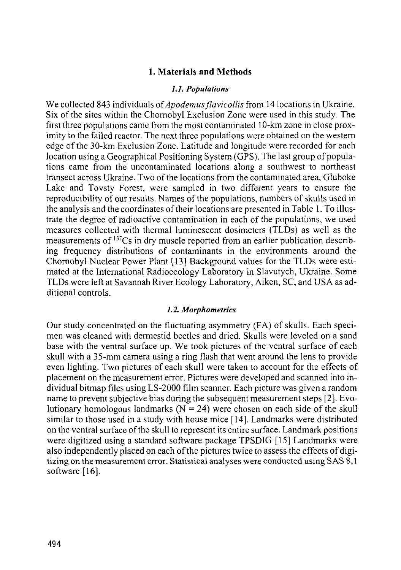## **1. Materials and Methods**

#### /. /. *Populations*

We collected 843 individuals of *Apodemus flavicollis* from 14 locations in Ukraine. Six of the sites within the Chornobyl Exclusion Zone were used in this study. The first three populations came from the most contaminated 10-km zone in close proximity to the failed reactor. The next three populations were obtained on the western edge of the 30-km Exclusion Zone. Latitude and longitude were recorded for each location using a Geographical Positioning System (GPS). The last group of populations came from the uncontaminated locations along a southwest to northeast transect across Ukraine. Two of the locations from the contaminated area, Gluboke Lake and Tovsty Forest, were sampled in two different years to ensure the reproducibility of our results. Names of the populations, numbers of skulls used in the analysis and the coordinates of their locations are presented in Table 1. To illustrate the degree of radioactive contamination in each of the populations, we used measures collected with thermal luminescent dosimeters (TLDs) as well as the measurements of <sup>137</sup>Cs in dry muscle reported from an earlier publication describing frequency distributions of contaminants in the environments around the Chernobyl Nuclear Power Plant [13] Background values for the TLDs were estimated at the International Radioecology Laboratory in Slavutych, Ukraine. Some TLDs were left at Savannah River Ecology Laboratory, Aiken, SC, and USA as additional controls.

#### *1.2. Morphometrics*

Our study concentrated on the fluctuating asymmetry (FA) of skulls. Each specimen was cleaned with dermestid beetles and dried. Skulls were leveled on a sand base with the ventral surface up. We took pictures of the ventral surface of each skull with a 35-mm camera using a ring flash that went around the lens to provide even lighting. Two pictures of each skull were taken to account for the effects of placement on the measurement error. Pictures were developed and scanned into individual bitmap files using LS-2000 film scanner. Each picture was given a random name to prevent subjective bias during the subsequent measurement steps [2]. Evolutionary homologous landmarks  $(N = 24)$  were chosen on each side of the skull similar to those used in a study with house mice [14]. Landmarks were distributed on the ventral surface of the skull to represent its entire surface. Landmark positions were digitized using a standard software package TPSDIG [15] Landmarks were also independently placed on each of the pictures twice to assess the effects of digitizing on the measurement error. Statistical analyses were conducted using SAS 8,1 software [16].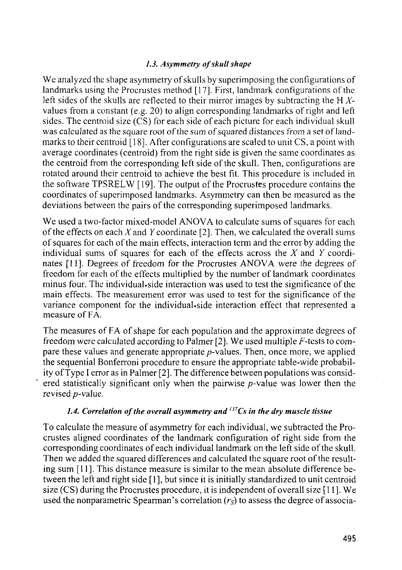## *1.3. Asymmetry of skull shape*

We analyzed the shape asymmetry of skulls by superimposing the configurations of landmarks using the Procrustes method [17]. First, landmark configurations of the left sides of the skulls are reflected to their mirror images by subtracting the H *X*values from a constant (e.g. 20) to align corresponding landmarks of right and left sides. The centroid size (CS) for each side of each picture for each individual skull was calculated as the square root of the sum of squared distances from a set of landmarks to their centroid [18]. After configurations are scaled to unit CS, a point with average coordinates (centroid) from the right side is given the same coordinates as the centroid from the corresponding left side of the skull. Then, configurations are rotated around their centroid to achieve the best fit. This procedure is included in the software TPSRELW [19]. The output of the Procrustes procedure contains the coordinates of superimposed landmarks. Asymmetry can then be measured as the deviations between the pairs of the corresponding superimposed landmarks.

We used a two-factor mixed-model ANOVA to calculate sums of squares for each of the effects on each  $X$  and  $Y$  coordinate [2]. Then, we calculated the overall sums of squares for each of the main effects, interaction term and the error by adding the individual sums of squares for each of the effects across the *X* and *Y* coordinates [11]. Degrees of freedom for the Procrustes ANOVA were the degrees of freedom for each of the effects multiplied by the number of landmark coordinates minus four. The individual.side interaction was used to test the significance of the main effects. The measurement error was used to test for the significance of the variance component for the individual.side interaction effect that represented a measure of FA.

The measures of FA of shape for each population and the approximate degrees of freedom were calculated according to Palmer [2]. We used multiple  $F$ -tests to compare these values and generate appropriate  $p$ -values. Then, once more, we applied the sequential Bonferroni procedure to ensure the appropriate table-wide probability of Type I error as in Palmer [2]. The difference between populations was considered statistically significant only when the pairwise  $p$ -value was lower then the revised p-value.

# *1.4. Correlation of the overall asymmetry and <sup>137</sup>Cs in the dry muscle tissue*

To calculate the measure of asymmetry for each individual, we subtracted the Procrustes aligned coordinates of the landmark configuration of right side from the corresponding coordinates of each individual landmark on the left side of the skull. Then we added the squared differences and calculated the square root of the resulting sum [11]. This distance measure is similar to the mean absolute difference between the left and right side [1], but since it is initially standardized to unit centroid size (CS) during the Procrustes procedure, it is independent of overall size [11]. We used the nonparametric Spearman's correlation *(r<sup>s</sup> )* to assess the degree of associa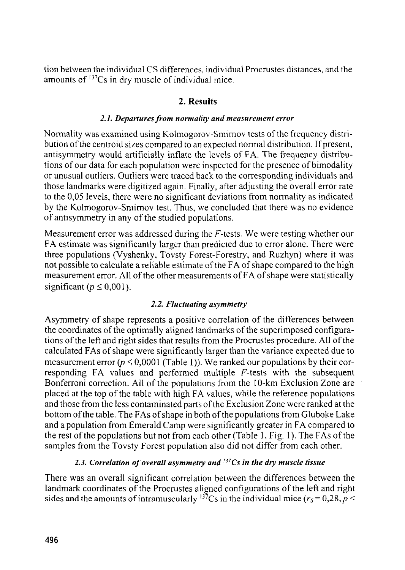tion between the individual CS differences, individual Procrustes distances, and the amounts of '<sup>37</sup>Cs in dry muscle of individual mice.

# **2. Results**

## *2.1. Departures from normality and measurement error*

Normality was examined using Kolmogorov-Smimov tests of the frequency distribution of the centroid sizes compared to an expected normal distribution. If present, antisymmetry would artificially inflate the levels of FA. The frequency distributions of our data for each population were inspected for the presence of bimodality or unusual outliers. Outliers were traced back to the corresponding individuals and those landmarks were digitized again. Finally, after adjusting the overall error rate to the 0,05 levels, there were no significant deviations from normality as indicated by the Kolmogorov-Smimov test. Thus, we concluded that there was no evidence of antisymmetry in any of the studied populations.

Measurement error was addressed during the F-tests. We were testing whether our FA estimate was significantly larger than predicted due to error alone. There were three populations (Vyshenky, Tovsty Forest-Forestry, and Ruzhyn) where it was not possible to calculate a reliable estimate of the FA of shape compared to the high measurement error. All of the other measurements of FA of shape were statistically significant  $(p \le 0.001)$ .

## *2.2. Fluctuating asymmetry*

Asymmetry of shape represents a positive correlation of the differences between the coordinates of the optimally aligned landmarks of the superimposed configurations of the left and right sides that results from the Procrustes procedure. All of the calculated FAs of shape were significantly larger than the variance expected due to measurement error  $(p \le 0.0001$  (Table 1)). We ranked our populations by their corresponding FA values and performed multiple F-tests with the subsequent Bonferroni correction. All of the populations from the 10-km Exclusion Zone are placed at the top of the table with high FA values, while the reference populations and those from the less contaminated parts of the Exclusion Zone were ranked at the bottom of the table. The FAs of shape in both of the populations from Gluboke Lake and a population from Emerald Camp were significantly greater in FA compared to the rest of the populations but not from each other (Table 1, Fig. 1). The FAs of the samples from the Tovsty Forest population also did not differ from each other.

## *2.3. Correlation of overall asymmetry and '<sup>37</sup>Cs in the dry muscle tissue*

There was an overall significant correlation between the differences between the landmark coordinates of the Procrustes aligned configurations of the left and right sides and the amounts of intramuscularly  $^{137}$ Cs in the individual mice ( $r_s$  = 0,28,  $p$  <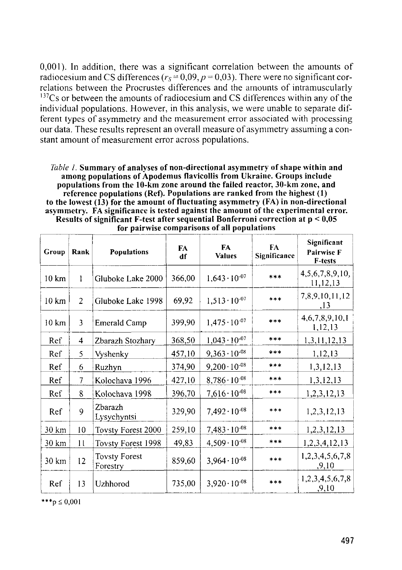0,001). In addition, there was a significant correlation between the amounts of radiocesium and CS differences ( $r_s = 0.09$ ,  $p = 0.03$ ). There were no significant correlations between the Procrustes differences and the amounts of intramuscularly  $137Cs$  or between the amounts of radiocesium and CS differences within any of the individual populations. However, in this analysis, we were unable to separate different types of asymmetry and the measurement error associated with processing our data. These results represent an overall measure of asymmetry assuming a constant amount of measurement error across populations.

| <i>Table 1.</i> Summary of analyses of non-directional asymmetry of shape within and |
|--------------------------------------------------------------------------------------|
| among populations of Apodemus flavicollis from Ukraine. Groups include               |
| populations from the 10-km zone around the failed reactor, 30-km zone, and           |
| reference populations (Ref). Populations are ranked from the highest (1)             |
| to the lowest (13) for the amount of fluctuating asymmetry (FA) in non-directional   |
| asymmetry. FA significance is tested against the amount of the experimental error.   |
| Results of significant F-test after sequential Bonferroni correction at $p < 0.05$   |
| for nairwise comparisons of all populations                                          |

| Group            | Rank           | <b>Populations</b>               | FA<br>df | <b>FA</b><br><b>Values</b> | FA<br>Significance | Significant<br>Pairwise F<br>F-tests |
|------------------|----------------|----------------------------------|----------|----------------------------|--------------------|--------------------------------------|
| $10 \text{ km}$  | 1              | Gluboke Lake 2000                | 366,00   | $1,643 \cdot 10^{-07}$     | ***                | 4, 5, 6, 7, 8, 9, 10,<br>11,12,13    |
| $10 \mathrm{km}$ | $\overline{2}$ | Gluboke Lake 1998                | 69,92    | $1,513 \cdot 10^{-07}$     | $***$              | 7,8,9,10,11,12<br>,13                |
| 10 km            | 3              | Emerald Camp                     | 399,90   | $1,475 \cdot 10^{-07}$     | ***                | 4,6,7,8,9,10,1<br>1,12,13            |
| Ref              | $\overline{4}$ | Zbarazh Stozhary                 | 368,50   | $1,043 \cdot 10^{-07}$     | $***$              | 1,3,11,12,13                         |
| Ref              | 5              | Vyshenky                         | 457,10   | $9,363 \cdot 10^{-08}$     | $* * *$            | 1,12,13                              |
| Ref              | 6              | Ruzhyn                           | 374,90   | $9,200 \cdot 10^{-08}$     | $***$              | 1,3,12,13                            |
| Ref              | $\overline{7}$ | Kolochava 1996                   | 427,10   | $8,786 \cdot 10^{-08}$     | ***                | 1,3,12,13                            |
| Ref              | 8              | Kolochava 1998                   | 396,70   | $7,616\cdot10^{-08}$       | $***$              | 1,2,3,12,13                          |
| Ref              | 9              | Zbarazh<br>Lysychyntsi           | 329.90   | $7,492 \cdot 10^{-08}$     | ***                | 1, 2, 3, 12, 13                      |
| 30 km            | 10             | Tovsty Forest 2000               | 259,10   | $7,483 \cdot 10^{-08}$     | $***$              | 1,2,3,12,13                          |
| 30 km            | 11             | Tovsty Forest 1998               | 49,83    | $4,509 \cdot 10^{-08}$     | ***                | 1,2,3,4,12,13                        |
| 30 km            | 12             | <b>Tovsty Forest</b><br>Forestry | 859,60   | $3,964 \cdot 10^{-08}$     | ***                | 1,2,3,4,5,6,7,8<br>,9,10             |
| Ref              | 13             | Uzhhorod                         | 735,00   | $3,920 \cdot 10^{-08}$     | $***$              | 1,2,3,4,5,6,7,8<br>,9,10             |

**for pairwise comparisons of all populations**

\*\*\*p  $\leq 0.001$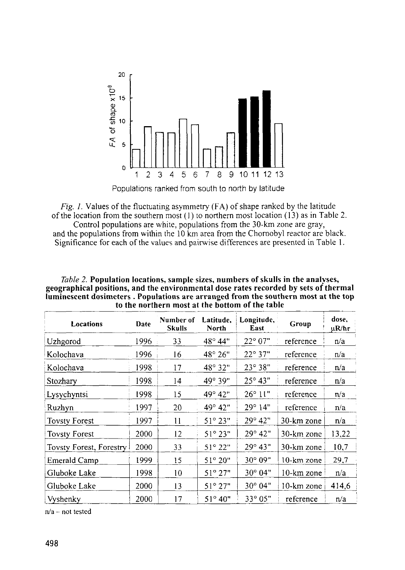

Populations ranked from south to north by latitude

*Fig. 1.* Values of the fluctuating asymmetry (FA) of shape ranked by the latitude of the location from the southern most (1) to northern most location (13) as in Table 2. Control populations are white, populations from the 30-km zone are gray,

and the populations from within the 10 km area from the Chomobyl reactor are black. Significance for each of the values and pairwise differences are presented in Table 1.

| Locations               | Date | Number of<br><b>Skulls</b> | Latitude.<br>North | Longitude,<br>East | Group      | dose,<br>µR/hr |
|-------------------------|------|----------------------------|--------------------|--------------------|------------|----------------|
| Uzhgorod                | 1996 | 33                         | $48^{\circ} 44"$   | $22^{\circ} 07"$   | reference  | n/a            |
| Kolochava               | 1996 | 16                         | $48^{\circ} 26"$   | $22^{\circ}37"$    | reference  | n/a            |
| Kolochava               | 1998 | 17                         | 48° 32"            | $23^{\circ}38"$    | reference  | n/a            |
| Stozhary                | 1998 | 4                          | 49° 39"            | $25^{\circ}$ 43"   | reference  | n/a            |
| Lysychyntsi             | 1998 | 15                         | $49^{\circ} 42"$   | $26^{\circ}$ 11"   | reference  | n/a            |
| Ruzhyn                  | 1997 | 20                         | 49° 42"            | 29°14"             | reference  | n/a            |
| <b>Tovsty Forest</b>    | 1997 | 11                         | $51^{\circ} 23"$   | $29^{\circ} 42"$   | 30-km zone | n/a            |
| <b>Tovsty Forest</b>    | 2000 | 12                         | $51^{\circ} 23"$   | $29^{\circ}$ 42"   | 30-km zone | 13,22          |
| Tovsty Forest, Forestry | 2000 | 33                         | $51^{\circ} 22"$   | $29^{\circ} 43"$   | 30-km zone | 10,7           |
| Emerald Camp            | 1999 | 15                         | $51^{\circ} 20"$   | 30° 09"            | 10-km zone | 29,7           |
| Gluboke Lake            | 1998 | 10                         | $51^{\circ} 27"$   | 30° 04"            | 10-km zone | n/a            |
| Gluboke Lake            | 2000 | 13                         | $51^{\circ} 27"$   | $30^{\circ} 04"$   | 10-km zone | 414,6          |
| Vyshenky                | 2000 | 17                         | $51^{\circ} 40"$   | $33^{\circ}05"$    | reference  | n/a            |

*Table 2.* **Population locations, sample sizes, numbers of skulls in the analyses, geographical positions, and the environmental dose rates recorded by sets of thermal luminescent dosimeters . Populations are arranged from the southern most at the top to the northern most at the bottom of the table**

 $n/a$  - not tested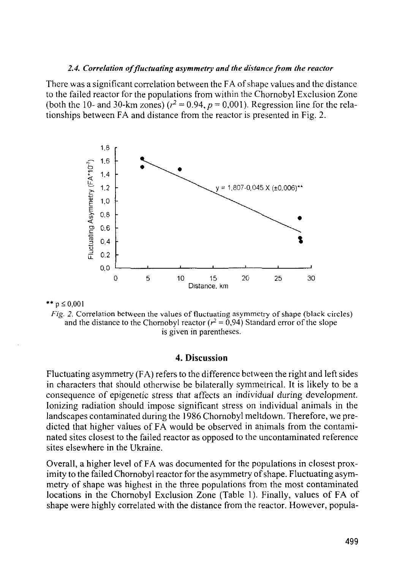#### *2.4. Correlation of fluctuating asymmetry and the distance from the reactor*

There was a significant correlation between the FA of shape values and the distance to the failed reactor for the populations from within the Chornobyl Exclusion Zone (both the 10- and 30-km zones)  $(r^2 = 0.94, p = 0.001)$ . Regression line for the relationships between FA and distance from the reactor is presented in Fig. 2.



\*\*  $p \le 0.001$ 

*Fig. 2.* Correlation between the values of fluctuating asymmetry of shape (black circles) and the distance to the Chornobyl reactor ( $r^2 = 0.94$ ) Standard error of the slope is given in parentheses.

#### **4. Discussion**

Fluctuating asymmetry (FA) refers to the difference between the right and left sides in characters that should otherwise be bilaterally symmetrical. It is likely to be a consequence of epigenetic stress that affects an individual during development. Ionizing radiation should impose significant stress on individual animals in the landscapes contaminated during the 1986 Chornobyl meltdown. Therefore, we predicted that higher values of FA would be observed in animals from the contaminated sites closest to the failed reactor as opposed to the uncontaminated reference sites elsewhere in the Ukraine.

Overall, a higher level of FA was documented for the populations in closest proximity to the failed Chornobyl reactor for the asymmetry of shape. Fluctuating asymmetry of shape was highest in the three populations from the most contaminated locations in the Chornobyl Exclusion Zone (Table 1). Finally, values of FA of shape were highly correlated with the distance from the reactor. However, popula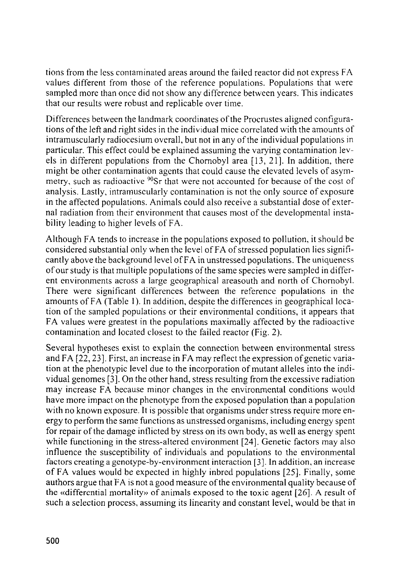tions from the less contaminated areas around the failed reactor did not express FA values different from those of the reference populations. Populations that were sampled more than once did not show any difference between years. This indicates that our results were robust and replicable over time.

Differences between the landmark coordinates of the Procrustes aligned configurations of the left and right sides in the individual mice correlated with the amounts of intramuscularly radiocesium overall, but not in any of the individual populations in particular. This effect could be explained assuming the varying contamination levels in different populations from the Chornobyl area  $[13, 21]$ . In addition, there might be other contamination agents that could cause the elevated levels of asymmetry, such as radioactive <sup>90</sup>Sr that were not accounted for because of the cost of analysis. Lastly, intramuscularly contamination is not the only source of exposure in the affected populations. Animals could also receive a substantial dose of external radiation from their environment that causes most of the developmental instability leading to higher levels of FA.

Although FA tends to increase in the populations exposed to pollution, it should be considered substantial only when the level of FA of stressed population lies significantly above the background level of FA in unstressed populations. The uniqueness of our study is that multiple populations of the same species were sampled in different environments across a large geographical areasouth and north of Chomobyl. There were significant differences between the reference populations in the amounts of FA (Table 1). In addition, despite the differences in geographical location of the sampled populations or their environmental conditions, it appears that FA values were greatest in the populations maximally affected by the radioactive contamination and located closest to the failed reactor (Fig. 2).

Several hypotheses exist to explain the connection between environmental stress and FA [22,23]. First, an increase in FA may reflect the expression of genetic variation at the phenotypic level due to the incorporation of mutant alleles into the individual genomes [3]. On the other hand, stress resulting from the excessive radiation may increase FA because minor changes in the environmental conditions would have more impact on the phenotype from the exposed population than a population with no known exposure. It is possible that organisms under stress require more energy to perform the same functions as unstressed organisms, including energy spent for repair of the damage inflicted by stress on its own body, as well as energy spent while functioning in the stress-altered environment [24]. Genetic factors may also influence the susceptibility of individuals and populations to the environmental factors creating a genotype-by-environment interaction [3]. In addition, an increase of FA values would *be* expected in highly inbred populations [25]. Finally, some authors argue that FA is not a good measure of the environmental quality because of the «differential mortality» of animals exposed to the toxic agent [26]. A result of such a selection process, assuming its linearity and constant level, would be that in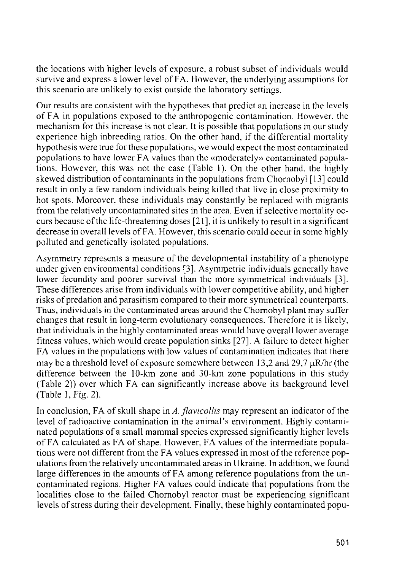the locations with higher levels of exposure, a robust subset of individuals would survive and express a lower level of FA. However, the underlying assumptions for this scenario are unlikely to exist outside the laboratory settings.

Our results are consistent with the hypotheses that predict an increase in the levels of FA in populations exposed to the anthropogenic contamination. However, the mechanism for this increase is not clear. It is possible that populations in our study experience high inbreeding ratios. On the other hand, if the differential mortality hypothesis were true for these populations, we would expect the most contaminated populations to have lower FA values than the «moderately» contaminated populations. However, this was not the case (Table 1). On the other hand, the highly skewed distribution of contaminants in the populations from Chornobyl [13] could result in only a few random individuals being killed that live in close proximity to hot spots. Moreover, these individuals may constantly be replaced with migrants from the relatively uncontaminated sites in the area. Even if selective mortality occurs because of the life-threatening doses [21 ], it is unlikely to result in a significant decrease in overall levels of FA. However, this scenario could occur in some highly polluted and genetically isolated populations.

Asymmetry represents a measure of the developmental instability of a phenotype under given environmental conditions [3]. Asymmetric individuals generally have lower fecundity and poorer survival than the more symmetrical individuals [3]. These differences arise from individuals with lower competitive ability, and higher risks of predation and parasitism compared to their more symmetrical counterparts. Thus, individuals in the contaminated areas around the Chomobyl plant may suffer changes that result in long-term evolutionary consequences. Therefore it is likely, that individuals in the highly contaminated areas would have overall lower average fitness values, which would create population sinks [27]. A failure to detect higher FA values in the populations with low values of contamination indicates that there may be a threshold level of exposure somewhere between 13,2 and 29,7  $\mu$ R/hr (the difference between the 10-km zone and 30-km zone populations in this study (Table 2)) over which FA can significantly increase above its background level (Table l,Fig. 2).

In conclusion, FA of skull shape in A. flavicollis may represent an indicator of the level of radioactive contamination in the animal's environment. Highly contaminated populations of a small mammal species expressed significantly higher levels of FA calculated as FA of shape. However, FA values of the intermediate populations were not different from the FA values expressed in most of the reference populations from the relatively uncontaminated areas in Ukraine. In addition, we found large differences in the amounts of FA among reference populations from the uncontaminated regions. Higher FA values could indicate that populations from the localities close to the failed Chornobyl reactor must be experiencing significant levels of stress during their development. Finally, these highly contaminated popu-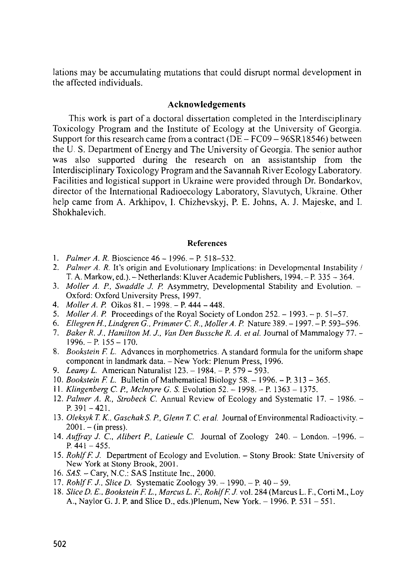lations may be accumulating mutations that could disrupt normal development in the affected individuals.

#### **Acknowledgements**

This work is part of a doctoral dissertation completed in the Interdisciplinary Toxicology Program and the Institute of Ecology at the University of Georgia. Support for this research came from a contract ( $DE - FC09 - 96SR18546$ ) between the U. S. Department of Energy and The University of Georgia. The senior author was also supported during the research on an assistantship from the Interdisciplinary Toxicology Program and the Savannah River Ecology Laboratory. Facilities and logistical support in Ukraine were provided through Dr. Bondarkov, director of the International Radioecology Laboratory, Slavutych, Ukraine. Other help came from A. Arkhipov, I. Chizhevskyj, P. E. Johns, A. J. Majeske, and I. Shokhalevich.

#### **References**

- 1. *Palmer A. R.* Bioscience 46 1996. P. 518–532.
- *2. Palmer A. R.* It's origin and Evolutionary Implications: in Developmental Instability / T. A. Markow, ed.). - Netherlands: Kluver Academic Publishers, 1994. - P. 335 - 364.
- 3. *Moller A. P., Swaddle J. P.* Asymmetry, Developmental Stability and Evolution. Oxford: Oxford University Press, 1997.
- 4. *Moller A. P.* Oikos 81.-1998.-P. 444-448.
- 5. *Moller A. P.* Proceedings of the Royal Society of London 252. 1993. p. 51–57.
- 6. *EllegrenH., Lindgren G., Primmer C. R., Moller A. P.* Nature 389. 1997. P. 593-596.
- 7. *Baker R. J., Hamilton M. J., Van Den Bussche R. A. et al.* Journal of Mammalogy 77.  $1996. - P. 155 - 170.$
- 8. *Bookstein F. L.* Advances in morphometrics. A standard formula for the uniform shape component in landmark data. - New York: Plenum Press, 1996.
- 9. Leamy L. American Naturalist 123. 1984. P. 579 593.
- 10. *Bookstein F. L.* Bulletin of Mathematical Biology 58. 1996. P. 313 365.
- 11. *Klingenberg C. P., Mclntyre G. S.* Evolution 52. 1998. P. 1363 1375.
- 12. *Palmer A. R., Strobeck C.* Annual Review of Ecology and Systematic 17. 1986. P.  $391 - 421$ .
- 13. *Oleksyk T. K., GaschakS. P., Glenn T. C. etal.* Journal of Environmental Radioactivity.  $2001 - (in press)$ .
- 14. *Auffray J.* C, *Aliberl Р.. Latieule C.* Journal of Zoology 240. London. -1996. P.  $441 - 455$ .
- 15. *RohlfF. J.* Department of Ecology and Evolution. Stony Brook: State University of New York at Stony Brook, 2001.
- 16. *SAS. -* Gary, N.C.: SAS Institute Inc., 2000.
- 17. *RohlfF. J., Slice D.* Systematic Zoology 39. 1990. P. 40 59.
- 18. *Slice D. E.. Bookstein F. L., Marcus L. E, RohlfF. J.* vol. 284 (Marcus L. F., Corti M., Loy A., Naylor G. J. P. and Slice D., eds.)Plenum, New York. - 1996. P. 531 - 551.